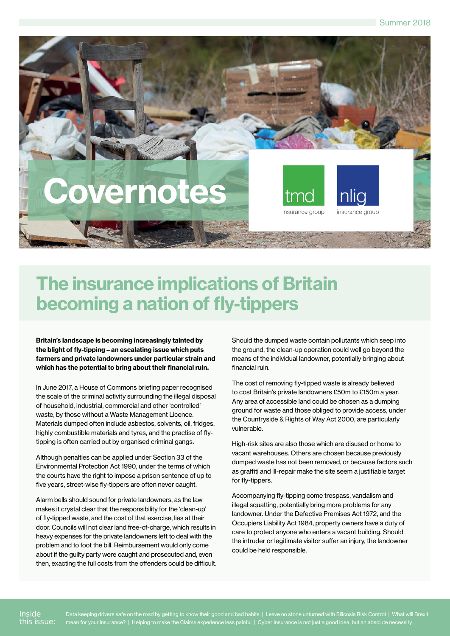

# The insurance implications of Britain becoming a nation of fly-tippers

Britain's landscape is becoming increasingly tainted by the blight of fly-tipping – an escalating issue which puts farmers and private landowners under particular strain and which has the potential to bring about their financial ruin.

In June 2017, a House of Commons briefing paper recognised the scale of the criminal activity surrounding the illegal disposal of household, industrial, commercial and other 'controlled' waste, by those without a Waste Management Licence. Materials dumped often include asbestos, solvents, oil, fridges, highly combustible materials and tyres, and the practise of flytipping is often carried out by organised criminal gangs.

Although penalties can be applied under Section 33 of the Environmental Protection Act 1990, under the terms of which the courts have the right to impose a prison sentence of up to five years, street-wise fly-tippers are often never caught.

Alarm bells should sound for private landowners, as the law makes it crystal clear that the responsibility for the 'clean-up' of fly-tipped waste, and the cost of that exercise, lies at their door. Councils will not clear land free-of-charge, which results in heavy expenses for the private landowners left to deal with the problem and to foot the bill. Reimbursement would only come about if the guilty party were caught and prosecuted and, even then, exacting the full costs from the offenders could be difficult. Should the dumped waste contain pollutants which seep into the ground, the clean-up operation could well go beyond the means of the individual landowner, potentially bringing about financial ruin.

The cost of removing fly-tipped waste is already believed to cost Britain's private landowners £50m to £150m a year. Any area of accessible land could be chosen as a dumping ground for waste and those obliged to provide access, under the Countryside & Rights of Way Act 2000, are particularly vulnerable.

High-risk sites are also those which are disused or home to vacant warehouses. Others are chosen because previously dumped waste has not been removed, or because factors such as graffiti and ill-repair make the site seem a justifiable target for fly-tippers.

Accompanying fly-tipping come trespass, vandalism and illegal squatting, potentially bring more problems for any landowner. Under the Defective Premises Act 1972, and the Occupiers Liability Act 1984, property owners have a duty of care to protect anyone who enters a vacant building. Should the intruder or legitimate visitor suffer an injury, the landowner could be held responsible.

Inside this issue: Data keeping drivers safe on the road by getting to know their good and bad habits | Leave no stone unturned with Silicosis Risk Control | What will Brexit mean for your insurance? | Helping to make the Claims experience less painful | Cyber Insurance is not just a good idea, but an absolute necessity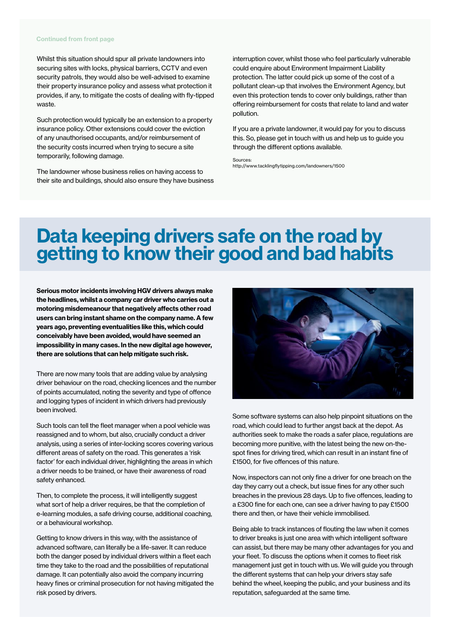#### Continued from front page

Whilst this situation should spur all private landowners into securing sites with locks, physical barriers, CCTV and even security patrols, they would also be well-advised to examine their property insurance policy and assess what protection it provides, if any, to mitigate the costs of dealing with fly-tipped waste.

Such protection would typically be an extension to a property insurance policy. Other extensions could cover the eviction of any unauthorised occupants, and/or reimbursement of the security costs incurred when trying to secure a site temporarily, following damage.

The landowner whose business relies on having access to their site and buildings, should also ensure they have business interruption cover, whilst those who feel particularly vulnerable could enquire about Environment Impairment Liability protection. The latter could pick up some of the cost of a pollutant clean-up that involves the Environment Agency, but even this protection tends to cover only buildings, rather than offering reimbursement for costs that relate to land and water pollution.

If you are a private landowner, it would pay for you to discuss this. So, please get in touch with us and help us to guide you through the different options available.

Sources: http://www.tacklingflytipping.com/landowners/1500

## Data keeping drivers safe on the road by getting to know their good and bad habits

Serious motor incidents involving HGV drivers always make the headlines, whilst a company car driver who carries out a motoring misdemeanour that negatively affects other road users can bring instant shame on the company name. A few years ago, preventing eventualities like this, which could conceivably have been avoided, would have seemed an impossibility in many cases. In the new digital age however, there are solutions that can help mitigate such risk.

There are now many tools that are adding value by analysing driver behaviour on the road, checking licences and the number of points accumulated, noting the severity and type of offence and logging types of incident in which drivers had previously been involved.

Such tools can tell the fleet manager when a pool vehicle was reassigned and to whom, but also, crucially conduct a driver analysis, using a series of inter-locking scores covering various different areas of safety on the road. This generates a 'risk factor' for each individual driver, highlighting the areas in which a driver needs to be trained, or have their awareness of road safety enhanced.

Then, to complete the process, it will intelligently suggest what sort of help a driver requires, be that the completion of e-learning modules, a safe driving course, additional coaching, or a behavioural workshop.

Getting to know drivers in this way, with the assistance of advanced software, can literally be a life-saver. It can reduce both the danger posed by individual drivers within a fleet each time they take to the road and the possibilities of reputational damage. It can potentially also avoid the company incurring heavy fines or criminal prosecution for not having mitigated the risk posed by drivers.



Some software systems can also help pinpoint situations on the road, which could lead to further angst back at the depot. As authorities seek to make the roads a safer place, regulations are becoming more punitive, with the latest being the new on-thespot fines for driving tired, which can result in an instant fine of £1500, for five offences of this nature.

Now, inspectors can not only fine a driver for one breach on the day they carry out a check, but issue fines for any other such breaches in the previous 28 days. Up to five offences, leading to a £300 fine for each one, can see a driver having to pay £1500 there and then, or have their vehicle immobilised.

Being able to track instances of flouting the law when it comes to driver breaks is just one area with which intelligent software can assist, but there may be many other advantages for you and your fleet. To discuss the options when it comes to fleet risk management just get in touch with us. We will guide you through the different systems that can help your drivers stay safe behind the wheel, keeping the public, and your business and its reputation, safeguarded at the same time.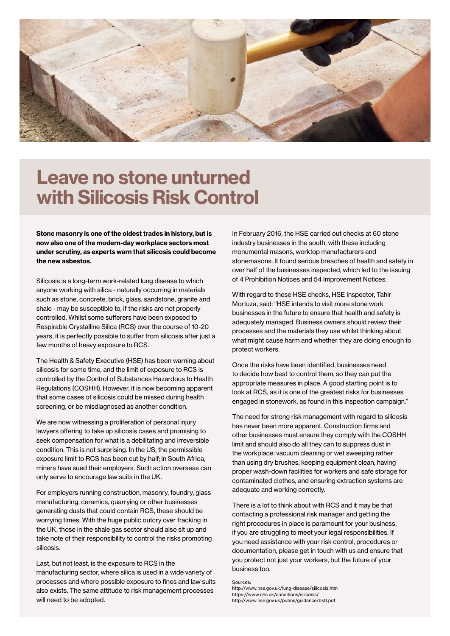

## Leave no stone unturned with Silicosis Risk Control

Stone masonry is one of the oldest trades in history, but is now also one of the modern-day workplace sectors most under scrutiny, as experts warn that silicosis could become the new asbestos.

Silicosis is a long-term work-related lung disease to which anyone working with silica - naturally occurring in materials such as stone, concrete, brick, glass, sandstone, granite and shale - may be susceptible to, if the risks are not properly controlled. Whilst some sufferers have been exposed to Respirable Crystalline Silica (RCS) over the course of 10-20 years, it is perfectly possible to suffer from silicosis after just a few months of heavy exposure to RCS.

The Health & Safety Executive (HSE) has been warning about silicosis for some time, and the limit of exposure to RCS is controlled by the Control of Substances Hazardous to Health Regulations (COSHH). However, it is now becoming apparent that some cases of silicosis could be missed during health screening, or be misdiagnosed as another condition.

We are now witnessing a proliferation of personal injury lawyers offering to take up silicosis cases and promising to seek compensation for what is a debilitating and irreversible condition. This is not surprising. In the US, the permissible exposure limit to RCS has been cut by half; in South Africa, miners have sued their employers. Such action overseas can only serve to encourage law suits in the UK.

For employers running construction, masonry, foundry, glass manufacturing, ceramics, quarrying or other businesses generating dusts that could contain RCS, these should be worrying times. With the huge public outcry over fracking in the UK, those in the shale gas sector should also sit up and take note of their responsibility to control the risks promoting silicosis.

Last, but not least, is the exposure to RCS in the manufacturing sector, where silica is used in a wide variety of processes and where possible exposure to fines and law suits also exists. The same attitude to risk management processes will need to be adopted.

In February 2016, the HSE carried out checks at 60 stone industry businesses in the south, with these including monumental masons, worktop manufacturers and stonemasons. It found serious breaches of health and safety in over half of the businesses inspected, which led to the issuing of 4 Prohibition Notices and 54 Improvement Notices.

With regard to these HSE checks, HSE Inspector, Tahir Mortuza, said: "HSE intends to visit more stone work businesses in the future to ensure that health and safety is adequately managed. Business owners should review their processes and the materials they use whilst thinking about what might cause harm and whether they are doing enough to protect workers.

Once the risks have been identified, businesses need to decide how best to control them, so they can put the appropriate measures in place. A good starting point is to look at RCS, as it is one of the greatest risks for businesses engaged in stonework, as found in this inspection campaign."

The need for strong risk management with regard to silicosis has never been more apparent. Construction firms and other businesses must ensure they comply with the COSHH limit and should also do all they can to suppress dust in the workplace: vacuum cleaning or wet sweeping rather than using dry brushes, keeping equipment clean, having proper wash-down facilities for workers and safe storage for contaminated clothes, and ensuring extraction systems are adequate and working correctly.

There is a lot to think about with RCS and it may be that contacting a professional risk manager and getting the right procedures in place is paramount for your business, if you are struggling to meet your legal responsibilities. If you need assistance with your risk control, procedures or documentation, please get in touch with us and ensure that you protect not just your workers, but the future of your business too.

Sources: http://www.hse.gov.uk/lung-disease/silicosis.htm https://www.nhs.uk/conditions/silicosis/

http://www.hse.gov.uk/pubns/guidance/bk0.pdf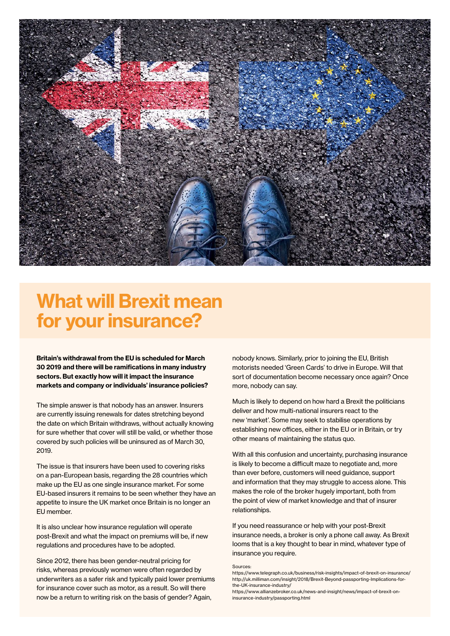

# What will Brexit mean for your insurance?

Britain's withdrawal from the EU is scheduled for March 30 2019 and there will be ramifications in many industry sectors. But exactly how will it impact the insurance markets and company or individuals' insurance policies?

The simple answer is that nobody has an answer. Insurers are currently issuing renewals for dates stretching beyond the date on which Britain withdraws, without actually knowing for sure whether that cover will still be valid, or whether those covered by such policies will be uninsured as of March 30, 2019.

The issue is that insurers have been used to covering risks on a pan-European basis, regarding the 28 countries which make up the EU as one single insurance market. For some EU-based insurers it remains to be seen whether they have an appetite to insure the UK market once Britain is no longer an EU member.

It is also unclear how insurance regulation will operate post-Brexit and what the impact on premiums will be, if new regulations and procedures have to be adopted.

Since 2012, there has been gender-neutral pricing for risks, whereas previously women were often regarded by underwriters as a safer risk and typically paid lower premiums for insurance cover such as motor, as a result. So will there now be a return to writing risk on the basis of gender? Again,

nobody knows. Similarly, prior to joining the EU, British motorists needed 'Green Cards' to drive in Europe. Will that sort of documentation become necessary once again? Once more, nobody can say.

Much is likely to depend on how hard a Brexit the politicians deliver and how multi-national insurers react to the new 'market'. Some may seek to stabilise operations by establishing new offices, either in the EU or in Britain, or try other means of maintaining the status quo.

With all this confusion and uncertainty, purchasing insurance is likely to become a difficult maze to negotiate and, more than ever before, customers will need guidance, support and information that they may struggle to access alone. This makes the role of the broker hugely important, both from the point of view of market knowledge and that of insurer relationships.

If you need reassurance or help with your post-Brexit insurance needs, a broker is only a phone call away. As Brexit looms that is a key thought to bear in mind, whatever type of insurance you require.

#### Sources:

https://www.telegraph.co.uk/business/risk-insights/impact-of-brexit-on-insurance/ http://uk.milliman.com/insight/2018/Brexit-Beyond-passporting-Implications-forthe-UK-insurance-industry/

https://www.allianzebroker.co.uk/news-and-insight/news/impact-of-brexit-oninsurance-industry/passporting.html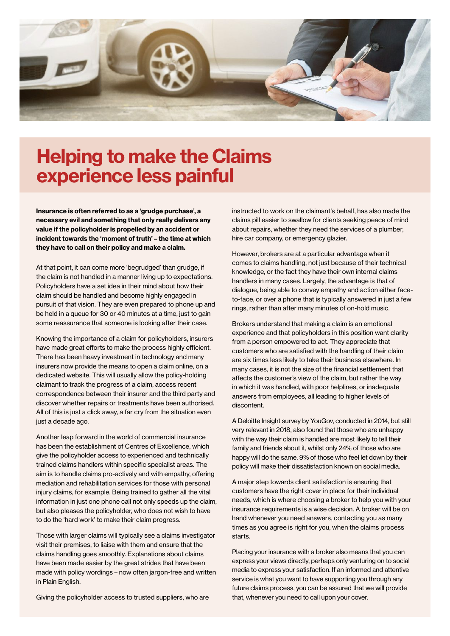

# Helping to make the Claims experience less painful

Insurance is often referred to as a 'grudge purchase', a necessary evil and something that only really delivers any value if the policyholder is propelled by an accident or incident towards the 'moment of truth' – the time at which they have to call on their policy and make a claim.

At that point, it can come more 'begrudged' than grudge, if the claim is not handled in a manner living up to expectations. Policyholders have a set idea in their mind about how their claim should be handled and become highly engaged in pursuit of that vision. They are even prepared to phone up and be held in a queue for 30 or 40 minutes at a time, just to gain some reassurance that someone is looking after their case.

Knowing the importance of a claim for policyholders, insurers have made great efforts to make the process highly efficient. There has been heavy investment in technology and many insurers now provide the means to open a claim online, on a dedicated website. This will usually allow the policy-holding claimant to track the progress of a claim, access recent correspondence between their insurer and the third party and discover whether repairs or treatments have been authorised. All of this is just a click away, a far cry from the situation even just a decade ago.

Another leap forward in the world of commercial insurance has been the establishment of Centres of Excellence, which give the policyholder access to experienced and technically trained claims handlers within specific specialist areas. The aim is to handle claims pro-actively and with empathy, offering mediation and rehabilitation services for those with personal injury claims, for example. Being trained to gather all the vital information in just one phone call not only speeds up the claim, but also pleases the policyholder, who does not wish to have to do the 'hard work' to make their claim progress.

Those with larger claims will typically see a claims investigator visit their premises, to liaise with them and ensure that the claims handling goes smoothly. Explanations about claims have been made easier by the great strides that have been made with policy wordings – now often jargon-free and written in Plain English.

Giving the policyholder access to trusted suppliers, who are

instructed to work on the claimant's behalf, has also made the claims pill easier to swallow for clients seeking peace of mind about repairs, whether they need the services of a plumber, hire car company, or emergency glazier.

However, brokers are at a particular advantage when it comes to claims handling, not just because of their technical knowledge, or the fact they have their own internal claims handlers in many cases. Largely, the advantage is that of dialogue, being able to convey empathy and action either faceto-face, or over a phone that is typically answered in just a few rings, rather than after many minutes of on-hold music.

Brokers understand that making a claim is an emotional experience and that policyholders in this position want clarity from a person empowered to act. They appreciate that customers who are satisfied with the handling of their claim are six times less likely to take their business elsewhere. In many cases, it is not the size of the financial settlement that affects the customer's view of the claim, but rather the way in which it was handled, with poor helplines, or inadequate answers from employees, all leading to higher levels of discontent.

A Deloitte Insight survey by YouGov, conducted in 2014, but still very relevant in 2018, also found that those who are unhappy with the way their claim is handled are most likely to tell their family and friends about it, whilst only 24% of those who are happy will do the same. 9% of those who feel let down by their policy will make their dissatisfaction known on social media.

A major step towards client satisfaction is ensuring that customers have the right cover in place for their individual needs, which is where choosing a broker to help you with your insurance requirements is a wise decision. A broker will be on hand whenever you need answers, contacting you as many times as you agree is right for you, when the claims process starts.

Placing your insurance with a broker also means that you can express your views directly, perhaps only venturing on to social media to express your satisfaction. If an informed and attentive service is what you want to have supporting you through any future claims process, you can be assured that we will provide that, whenever you need to call upon your cover.